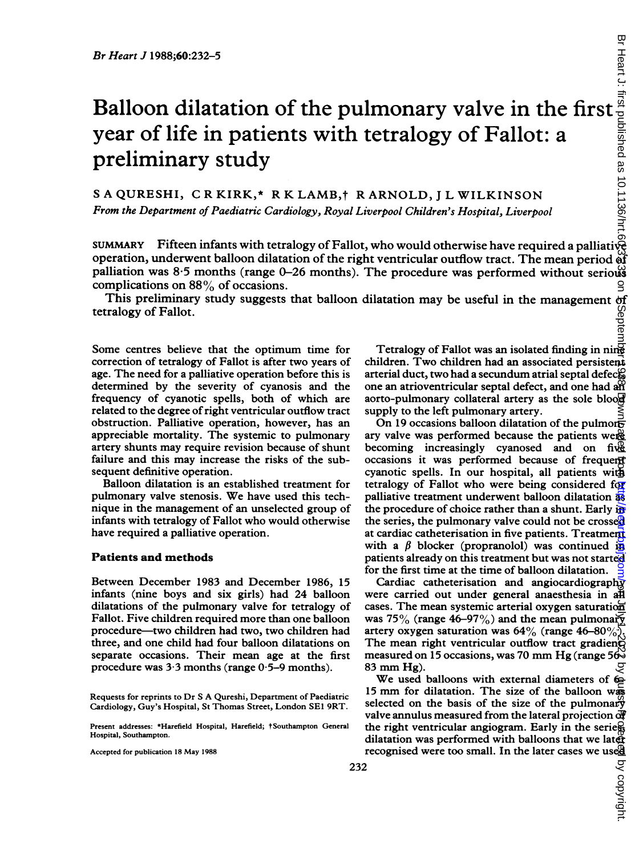# Balloon dilatation of the pulmonary valve in the first $\frac{2}{3}$ year of life in patients with tetralogy of Fallot: a preliminary study

<sup>S</sup> A QURESHI, C R KIRK,\* R K LAMB,t R ARNOLD, <sup>J</sup> L WILKINSON From the Department of Paediatric Cardiology, Royal Liverpool Children's Hospital, Liverpool

SUMMARY Fifteen infants with tetralogy of Fallot, who would otherwise have required a palliative operation, underwent balloon dilatation of the right ventricular outflow tract. The mean period  $\breve{\mathrm{af}}$ palliation was 8.5 months (range 0-26 months). The procedure was performed without serious complications on 88% of occasions.

This preliminary study suggests that balloon dilatation may be useful in the management of<br>tralogy of Fallot.<br>End of the management of the management of the management of the tralogy of Fallot. tetralogy of Fallot.

Some centres believe that the optimum time for correction of tetralogy of Fallot is after two years of age. The need for a palliative operation before this is determined by the severity of cyanosis and the frequency of cyanotic spells, both of which are related to the degree ofright ventricular outflow tract obstruction. Palliative operation, however, has an appreciable mortality. The systemic to pulmonary artery shunts may require revision because of shunt failure and this may increase the risks of the subsequent definitive operation.

Balloon dilatation is an established treatment for pulmonary valve stenosis. We have used this technique in the management of an unselected group of infants with tetralogy of Fallot who would otherwise have required a palliative operation.

## Patients and methods

Between December 1983 and December 1986, 15 infants (nine boys and six girls) had 24 balloon dilatations of the pulmonary valve for tetralogy of Fallot. Five children required more than one balloon procedure-two children had two, two children had three, and one child had four balloon dilatations on separate occasions. Their mean age at the first procedure was 3-3 months (range 0-5-9 months).

Requests for reprints to Dr S A Qureshi, Department of Paediatric Cardiology, Guy's Hospital, St Thomas Street, London SEI 9RT.

Present addresses: \*Harefield Hospital, Harefield; †Southampton General Hospital, Southampton.

Accepted for publication <sup>18</sup> May 1988

Tetralogy of Fallot was an isolated finding in ning children. Two children had an associated persistent arterial duct, two had a secundum atrial septal defect. one an atrioventricular septal defect, and one had an aorto-pulmonary collateral artery as the sole blood supply to the left pulmonary artery.

On 19 occasions balloon dilatation of the pulmon $\overline{r}$ ary valve was performed because the patients were becoming increasingly cyanosed and on five occasions it was performed because of frequent cyanotic spells. In our hospital, all patients with tetralogy of Fallot who were being considered for palliative treatment underwent balloon dilatation as the procedure of choice rather than a shunt. Early in the series, the pulmonary valve could not be crossed at cardiac catheterisation in five patients. Treatment with a  $\beta$  blocker (propranolol) was continued in patients already on this treatment but was not started for the first time at the time of balloon dilatation.

Cardiac catheterisation and angiocardiography were carried out under general anaesthesia in all cases. The mean systemic arterial oxygen saturation was 75% (range 46–97%) and the mean pulmonary artery oxygen saturation was  $64\%$  (range  $46-80\%$ ). The mean right ventricular outflow tract gradienty measured on 15 occasions, was 70 mm Hg (range  $56\overline{6}$ <sup>83</sup> mm Hg).

We used balloons with external diameters of 60-<sup>15</sup> mm for dilatation. The size of the balloon was selected on the basis of the size of the pulmonary valve annulus measured from the lateral projection of the right ventricular angiogram. Early in the series, dilatation was performed with balloons that we later recognised were too small. In the later cases we used

by copyright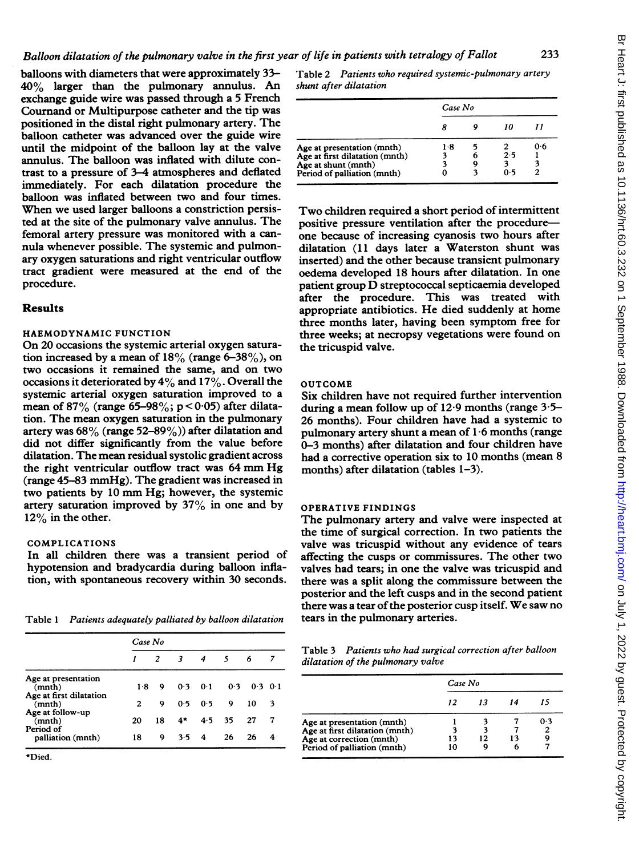balloons with diameters that were approximately 33- 40% larger than the pulmonary annulus. An exchange guide wire was passed through a 5 French Cournand or Multipurpose catheter and the tip was positioned in the distal right pulmonary artery. The balloon catheter was advanced over the guide wire until the midpoint of the balloon lay at the valve annulus. The balloon was inflated with dilute contrast to a pressure of 3-4 atmospheres and deflated immediately. For each dilatation procedure the balloon was inflated between two and four times. When we used larger balloons <sup>a</sup> constriction persisted at the site of the pulmonary valve annulus. The femoral artery pressure was monitored with a cannula whenever possible. The systemic and pulmonary oxygen saturations and right ventricular outflow tract gradient were measured at the end of the procedure.

# Results

# HAEMODYNAMIC FUNCTION

On 20 occasions the systemic arterial oxygen saturation increased by a mean of  $18\%$  (range 6-38%), on two occasions it remained the same, and on two occasions it deteriorated by  $4\%$  and  $17\%$ . Overall the systemic arterial oxygen saturation improved to a mean of 87% (range 65-98%;  $p < 0.05$ ) after dilatation. The mean oxygen saturation in the pulmonary artery was  $68\%$  (range 52-89%)) after dilatation and did not differ significantly from the value before dilatation. The mean residual systolic gradient across the right ventricular outflow tract was <sup>64</sup> mm Hg (range 45-83 mmHg). The gradient was increased in two patients by <sup>10</sup> mm Hg; however, the systemic artery saturation improved by  $37\%$  in one and by  $12\%$  in the other.

#### COMPLICATIONS

In all children there was a transient period of hypotension and bradycardia during balloon inflation, with spontaneous recovery within 30 seconds.

Table <sup>1</sup> Patients adequately palliated by balloon dilatation

|                                   | Case No |    |               |                |     |             |   |
|-----------------------------------|---------|----|---------------|----------------|-----|-------------|---|
|                                   |         | 2  | -3            | $\overline{4}$ | -5  | 6           | 7 |
| Age at presentation<br>(mnth)     | $1-8$   | 9  | 0.3           | 0.1            | 0.3 | $0.3 \ 0.1$ |   |
| Age at first dilatation<br>(mnth) | 2       | 9  | 0.5           | 0.5            | 9   | 10          | 3 |
| Age at follow-up<br>(mnth)        | 20      | 18 | 4*            | 4.5            | 35  | 27          | 7 |
| Period of<br>palliation (mnth)    | 18      | 9. | $3.5 \quad 4$ |                | 26  | 26          | 4 |

\*Died.

Table 2 Patients who required systemic-pulmonary artery shunt after dilatation

|                                | Case No |  |     |     |  |
|--------------------------------|---------|--|-----|-----|--|
|                                |         |  |     |     |  |
| Age at presentation (mnth)     | 1.8     |  |     | 0.6 |  |
| Age at first dilatation (mnth) | 3       |  | 2.5 |     |  |
| Age at shunt (mnth)            |         |  |     |     |  |
| Period of palliation (mnth)    |         |  | ი 5 | 2   |  |

Two children required <sup>a</sup> short period of intermittent positive pressure ventilation after the procedureone because of increasing cyanosis two hours after dilatation (11 days later a Waterston shunt was inserted) and the other because transient pulmonary oedema developed 18 hours after dilatation. In one patient group D streptococcal septicaemia developed after the procedure. This was treated with appropriate antibiotics. He died suddenly at home three months later, having been symptom free for three weeks; at necropsy vegetations were found on the tricuspid valve.

#### OUTCOME

Six children have not required further intervention during a mean follow up of  $12.9$  months (range  $3.5-$ 26 months). Four children have had a systemic to pulmonary artery shunt a mean of 1-6 months (range 0-3 months) after dilatation and four children have had a corrective operation six to 10 months (mean 8 months) after dilatation (tables 1-3).

#### OPERATIVE FINDINGS

The pulmonary artery and valve were inspected at the time of surgical correction. In two patients the valve was tricuspid without any evidence of tears affecting the cusps or commissures. The other two valves had tears; in one the valve was tricuspid and there was a split along the commissure between the posterior and the left cusps and in the second patient there was a tear of the posterior cusp itself. We saw no tears in the pulmonary arteries.

Table 3 Patients who had surgical correction after balloon dilatation of the pulmonary valve

|                                | Case No |    |    |     |  |
|--------------------------------|---------|----|----|-----|--|
|                                | 12      | 13 |    |     |  |
| Age at presentation (mnth)     |         |    |    | 0.3 |  |
| Age at first dilatation (mnth) |         |    |    |     |  |
| Age at correction (mnth)       | 13      | 12 | 13 |     |  |
| Period of palliation (mnth)    | 10      |    |    |     |  |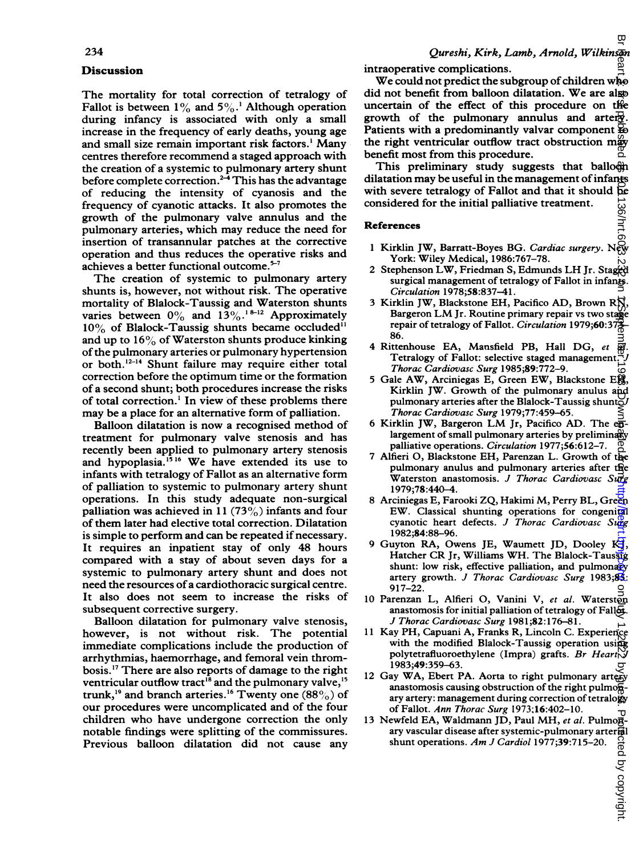## **Discussion**

The mortality for total correction of tetralogy of Fallot is between  $1\%$  and  $5\%$ .<sup>1</sup> Although operation during infancy is associated with only a small increase in the frequency of early deaths, young age and small size remain important risk factors.' Many centres therefore recommend a staged approach with the creation of a systemic to pulmonary artery shunt before complete correction.<sup>2-4</sup> This has the advantage of reducing the intensity of cyanosis and the frequency of cyanotic attacks. It also promotes the growth of the pulmonary valve annulus and the pulmonary arteries, which may reduce the need for insertion of transannular patches at the corrective operation and thus reduces the operative risks and achieves a better functional outcome.<sup>5-7</sup>

The creation of systemic to pulmonary artery shunts is, however, not without risk. The operative mortality of Blalock-Taussig and Waterston shunts varies between  $0\%$  and  $13\%$ .<sup>18-12</sup> Approximately  $10\%$  of Blalock-Taussig shunts became occluded<sup>11</sup> and up to  $16\%$  of Waterston shunts produce kinking of the pulmonary arteries or pulmonary hypertension or both.<sup>12-14</sup> Shunt failure may require either total correction before the optimum time or the formation of a second shunt; both procedures increase the risks of total correction.' In view of these problems there may be a place for an alternative form of palliation.

Balloon dilatation is now a recognised method of treatment for pulmonary valve stenosis and has recently been applied to pulmonary artery stenosis and hypoplasia.<sup>1516</sup> We have extended its use to infants with tetralogy of Fallot as an alternative form of palliation to systemic to pulmonary artery shunt operations. In this study adequate non-surgical palliation was achieved in 11 (73 $\%$ ) infants and four of them later had elective total correction. Dilatation is simple to perform and can be repeated if necessary. It requires an inpatient stay of only 48 hours compared with a stay of about seven days for a systemic to pulmonary artery shunt and does not need the resources ofa cardiothoracic surgical centre. It also does not seem to increase the risks of subsequent corrective surgery.

Balloon dilatation for pulmonary valve stenosis, however, is not without risk. The potential immediate complications include the production of arrhythmias, haemorrhage, and femoral vein thrombosis.'7 There are also reports of damage to the right ventricular outflow tract<sup>18</sup> and the pulmonary valve,<sup>15</sup> trunk,<sup>19</sup> and branch arteries.<sup>16</sup> Twenty one (88%) of our procedures were uncomplicated and of the four children who have undergone correction the only notable findings were splitting of the commissures. Previous balloon dilatation did not cause any

intraoperative complications.

We could not predict the subgroup of children who did not benefit from balloon dilatation. We are also uncertain of the effect of this procedure on the growth of the pulmonary annulus and arter $\vec{x}$ . Patients with a predominantly valvar component  $\mathbb{E}_{0}$ the right ventricular outflow tract obstruction may benefit most from this procedure. on July 1, 2022 by guest. Protected by copyright. <http://heart.bmj.com/> Br Heart J: first published as 10.1136/hrt.60.3.232 on 1 September 1988. Downloaded from

This preliminary study suggests that balloon dilatation may be useful in the management of infants with severe tetralogy of Fallot and that it should be considered for the initial palliative treatment. 136/hrt.6

#### References

- <sup>1</sup> Kirklin JW, Barratt-Boyes BG. Cardiac surgery. New York: Wiley Medical, 1986:767-78.
- <sup>2</sup> Stephenson LW, Friedman S, Edmunds LH Jr. Staged surgical management of tetralogy of Fallot in infants. Circulation 1978;58:837-41.
- 3 Kirklin JW, Blackstone EH, Pacifico AD, Brown RN, Bargeron LM Jr. Routine primary repair vs two stage repair of tetralogy of Fallot. Circulation 1979;60:379-86.
- 4 Rittenhouse EA, Mansfield PB, Hall DG, et  $\overline{\mathfrak{R}}$ . Tetralogy of Fallot: selective staged management. Thorac Cardiovasc Surg 1985;89:772-9.
- <sup>5</sup> Gale AW, Arciniegas E, Green EW, Blackstone EH, Kirklin JW. Growth of the pulmonary anulus and pulmonary arteries after the Blalock-Taussig shunt $\tilde{\omega}$ Thorac Cardiovasc Surg 1979;77:459-65.
- 6 Kirklin JW, Bargeron LM Jr, Pacifico AD. The  $e\overline{B}$ largement of small pulmonary arteries by preliminary palliative operations. Circulation 1977;56:612-7.
- 7 Alfieri 0, Blackstone EH, Parenzan L. Growth of the pulmonary anulus and pulmonary arteries after the Waterston anastomosis. J Thorac Cardiovasc Surg 1979;78:440-4.
- 8 Arciniegas E, Farooki ZQ, Hakimi M, Perry BL, Green EW. Classical shunting operations for congenital cyanotic heart defects. J Thorac Cardiovasc Surg 1982;84:88-96.
- 9 Guyton RA, Owens JE, Waumett JD, Dooley KJ, Hatcher CR Jr, Williams WH. The Blalock-Taussig shunt: low risk, effective palliation, and pulmonary artery growth. J Thorac Cardiovasc Surg 1983;83: 917-22.
- 10 Parenzan L, Alfieri O, Vanini V, et al. Waterston anastomosis for initial palliation of tetralogy of Fallet. J Thorac Cardiovasc Surg 1981;82: 176-81.
- <sup>11</sup> Kay PH, Capuani A, Franks R, Lincoln C. Experience with the modified Blalock-Taussig operation using polytetrafluoroethylene (Impra) grafts. Br Heart  $\bigvee$ 1983;49:359-63.
- 12 Gay WA, Ebert PA. Aorta to right pulmonary artery anastomosis causing obstruction of the right pulmo $\overline{\mathbf{B}}$ ary artery: management during correction of tetralogy of Fallot. Ann Thorac Surg 1973;16:402-10.
- 13 Newfeld EA, Waldmann JD, Paul MH, et al. Pulmonary vascular disease after systemic-pulmonary arter<br>shunt operations. Am J Cardiol 1977;39:715–20.